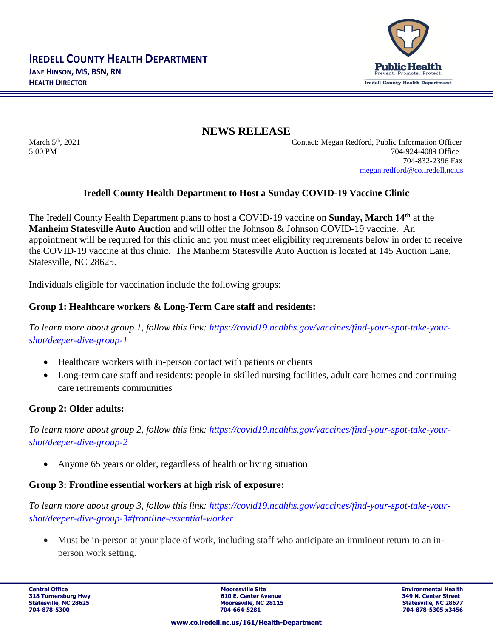

**NEWS RELEASE**

March 5th, 2021 Contact: Megan Redford, Public Information Officer 5:00 PM 704-924-4089 Office 704-832-2396 Fax [megan.redford@co.iredell.nc.us](mailto:megan.redford@co.iredell.nc.us)

# **Iredell County Health Department to Host a Sunday COVID-19 Vaccine Clinic**

The Iredell County Health Department plans to host a COVID-19 vaccine on **Sunday, March 14th** at the **Manheim Statesville Auto Auction** and will offer the Johnson & Johnson COVID-19 vaccine.An appointment will be required for this clinic and you must meet eligibility requirements below in order to receive the COVID-19 vaccine at this clinic. The Manheim Statesville Auto Auction is located at 145 Auction Lane, Statesville, NC 28625.

Individuals eligible for vaccination include the following groups:

# **Group 1: Healthcare workers & Long-Term Care staff and residents:**

*To learn more about group 1, follow this link: [https://covid19.ncdhhs.gov/vaccines/find-your-spot-take-your](https://covid19.ncdhhs.gov/vaccines/find-your-spot-take-your-shot/deeper-dive-group-1)[shot/deeper-dive-group-1](https://covid19.ncdhhs.gov/vaccines/find-your-spot-take-your-shot/deeper-dive-group-1)*

- Healthcare workers with in-person contact with patients or clients
- Long-term care staff and residents: people in skilled nursing facilities, adult care homes and continuing care retirements communities

# **Group 2: Older adults:**

*To learn more about group 2, follow this link: [https://covid19.ncdhhs.gov/vaccines/find-your-spot-take-your](https://covid19.ncdhhs.gov/vaccines/find-your-spot-take-your-shot/deeper-dive-group-2)[shot/deeper-dive-group-2](https://covid19.ncdhhs.gov/vaccines/find-your-spot-take-your-shot/deeper-dive-group-2)*

• Anyone 65 years or older, regardless of health or living situation

# **Group 3: Frontline essential workers at high risk of exposure:**

*To learn more about group 3, follow this link: [https://covid19.ncdhhs.gov/vaccines/find-your-spot-take-your](https://covid19.ncdhhs.gov/vaccines/find-your-spot-take-your-shot/deeper-dive-group-3#frontline-essential-worker)[shot/deeper-dive-group-3#frontline-essential-worker](https://covid19.ncdhhs.gov/vaccines/find-your-spot-take-your-shot/deeper-dive-group-3#frontline-essential-worker)*

Must be in-person at your place of work, including staff who anticipate an imminent return to an inperson work setting.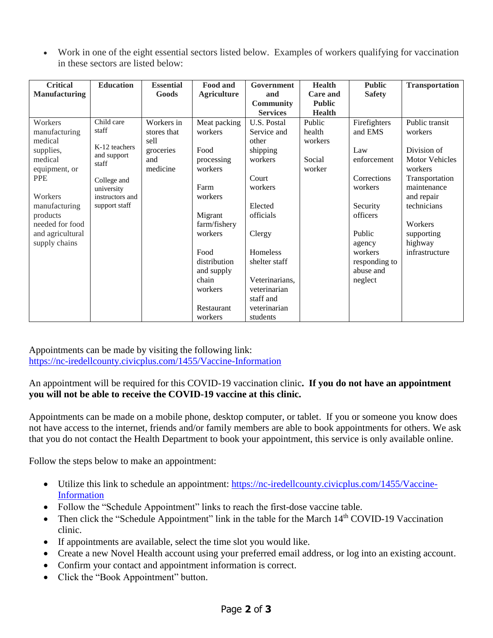• Work in one of the eight essential sectors listed below. Examples of workers qualifying for vaccination in these sectors are listed below:

| <b>Critical</b><br><b>Manufacturing</b>                                                                                                                                                    | <b>Education</b>                                                                                                              | <b>Essential</b><br>Goods                                         | Food and<br><b>Agriculture</b>                                                                                                                                                            | Government<br>and                                                                                                                                                                                            | <b>Health</b><br><b>Care and</b>                | <b>Public</b><br><b>Safety</b>                                                                                                                                          | <b>Transportation</b>                                                                                                                                                                            |
|--------------------------------------------------------------------------------------------------------------------------------------------------------------------------------------------|-------------------------------------------------------------------------------------------------------------------------------|-------------------------------------------------------------------|-------------------------------------------------------------------------------------------------------------------------------------------------------------------------------------------|--------------------------------------------------------------------------------------------------------------------------------------------------------------------------------------------------------------|-------------------------------------------------|-------------------------------------------------------------------------------------------------------------------------------------------------------------------------|--------------------------------------------------------------------------------------------------------------------------------------------------------------------------------------------------|
|                                                                                                                                                                                            |                                                                                                                               |                                                                   |                                                                                                                                                                                           | <b>Community</b><br><b>Services</b>                                                                                                                                                                          | <b>Public</b><br><b>Health</b>                  |                                                                                                                                                                         |                                                                                                                                                                                                  |
| Workers<br>manufacturing<br>medical<br>supplies,<br>medical<br>equipment, or<br><b>PPE</b><br>Workers<br>manufacturing<br>products<br>needed for food<br>and agricultural<br>supply chains | Child care<br>staff<br>K-12 teachers<br>and support<br>staff<br>College and<br>university<br>instructors and<br>support staff | Workers in<br>stores that<br>sell<br>groceries<br>and<br>medicine | Meat packing<br>workers<br>Food<br>processing<br>workers<br>Farm<br>workers<br>Migrant<br>farm/fishery<br>workers<br>Food<br>distribution<br>and supply<br>chain<br>workers<br>Restaurant | U.S. Postal<br>Service and<br>other<br>shipping<br>workers<br>Court<br>workers<br>Elected<br>officials<br>Clergy<br>Homeless<br>shelter staff<br>Veterinarians,<br>veterinarian<br>staff and<br>veterinarian | Public<br>health<br>workers<br>Social<br>worker | Firefighters<br>and EMS<br>Law<br>enforcement<br>Corrections<br>workers<br>Security<br>officers<br>Public<br>agency<br>workers<br>responding to<br>abuse and<br>neglect | Public transit<br>workers<br>Division of<br><b>Motor Vehicles</b><br>workers<br>Transportation<br>maintenance<br>and repair<br>technicians<br>Workers<br>supporting<br>highway<br>infrastructure |
|                                                                                                                                                                                            |                                                                                                                               |                                                                   | workers                                                                                                                                                                                   | students                                                                                                                                                                                                     |                                                 |                                                                                                                                                                         |                                                                                                                                                                                                  |

Appointments can be made by visiting the following link: <https://nc-iredellcounty.civicplus.com/1455/Vaccine-Information>

### An appointment will be required for this COVID-19 vaccination clinic**. If you do not have an appointment you will not be able to receive the COVID-19 vaccine at this clinic.**

Appointments can be made on a mobile phone, desktop computer, or tablet. If you or someone you know does not have access to the internet, friends and/or family members are able to book appointments for others. We ask that you do not contact the Health Department to book your appointment, this service is only available online.

Follow the steps below to make an appointment:

- Utilize this link to schedule an appointment: [https://nc-iredellcounty.civicplus.com/1455/Vaccine-](https://nc-iredellcounty.civicplus.com/1455/Vaccine-Information)[Information](https://nc-iredellcounty.civicplus.com/1455/Vaccine-Information)
- Follow the "Schedule Appointment" links to reach the first-dose vaccine table.
- Then click the "Schedule Appointment" link in the table for the March 14<sup>th</sup> COVID-19 Vaccination clinic.
- If appointments are available, select the time slot you would like.
- Create a new Novel Health account using your preferred email address, or log into an existing account.
- Confirm your contact and appointment information is correct.
- Click the "Book Appointment" button.